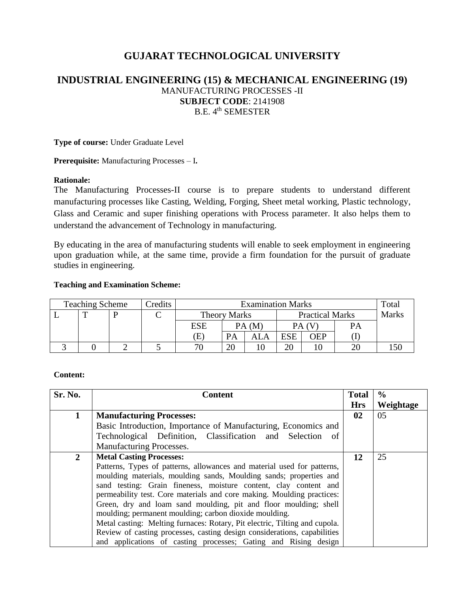# **GUJARAT TECHNOLOGICAL UNIVERSITY**

## **INDUSTRIAL ENGINEERING (15) & MECHANICAL ENGINEERING (19)** MANUFACTURING PROCESSES -II **SUBJECT CODE**: 2141908 B.E. 4th SEMESTER

**Type of course:** Under Graduate Level

**Prerequisite:** Manufacturing Processes – I**.** 

#### **Rationale:**

The Manufacturing Processes-II course is to prepare students to understand different manufacturing processes like Casting, Welding, Forging, Sheet metal working, Plastic technology, Glass and Ceramic and super finishing operations with Process parameter. It also helps them to understand the advancement of Technology in manufacturing.

By educating in the area of manufacturing students will enable to seek employment in engineering upon graduation while, at the same time, provide a firm foundation for the pursuit of graduate studies in engineering.

#### **Teaching and Examination Scheme:**

| <b>Teaching Scheme</b> |  |  | Credits | <b>Examination Marks</b> |                          |       |                        | Total |              |     |
|------------------------|--|--|---------|--------------------------|--------------------------|-------|------------------------|-------|--------------|-----|
|                        |  |  |         |                          | <b>Theory Marks</b>      |       | <b>Practical Marks</b> |       | <b>Marks</b> |     |
|                        |  |  |         | <b>ESE</b>               |                          | PA (M |                        |       | PA           |     |
|                        |  |  |         | $\mathbf{E}$             | PA                       | ALA   | <b>ESE</b>             | OEP   |              |     |
|                        |  |  |         | 70                       | $\overline{\mathcal{U}}$ |       | 20                     |       | 20           | .50 |

#### **Content:**

| Sr. No.        | <b>Content</b>                                                             | <b>Total</b> | $\frac{0}{0}$ |
|----------------|----------------------------------------------------------------------------|--------------|---------------|
|                |                                                                            | <b>Hrs</b>   | Weightage     |
| $\mathbf 1$    | <b>Manufacturing Processes:</b>                                            | 02           | 05            |
|                | Basic Introduction, Importance of Manufacturing, Economics and             |              |               |
|                | Technological Definition, Classification and Selection of                  |              |               |
|                | Manufacturing Processes.                                                   |              |               |
| $\overline{2}$ | <b>Metal Casting Processes:</b>                                            | 12           | 25            |
|                | Patterns, Types of patterns, allowances and material used for patterns,    |              |               |
|                | moulding materials, moulding sands, Moulding sands; properties and         |              |               |
|                | sand testing: Grain fineness, moisture content, clay content and           |              |               |
|                | permeability test. Core materials and core making. Moulding practices:     |              |               |
|                | Green, dry and loam sand moulding, pit and floor moulding; shell           |              |               |
|                | moulding; permanent moulding; carbon dioxide moulding.                     |              |               |
|                | Metal casting: Melting furnaces: Rotary, Pit electric, Tilting and cupola. |              |               |
|                | Review of casting processes, casting design considerations, capabilities   |              |               |
|                | and applications of casting processes; Gating and Rising design            |              |               |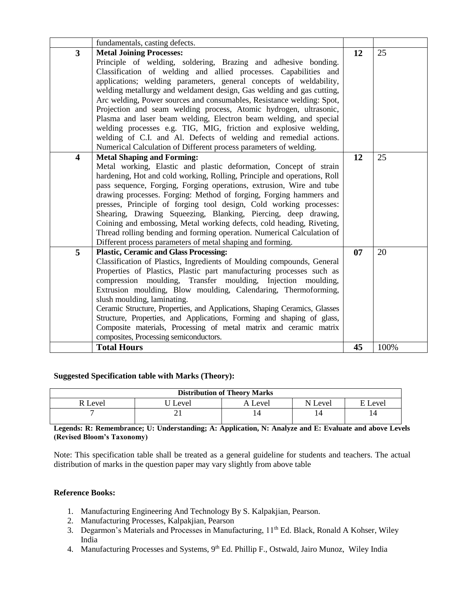|                         | fundamentals, casting defects.                                                                                                       |    |      |
|-------------------------|--------------------------------------------------------------------------------------------------------------------------------------|----|------|
| $\overline{3}$          | <b>Metal Joining Processes:</b>                                                                                                      | 12 | 25   |
|                         | Principle of welding, soldering, Brazing and adhesive bonding.                                                                       |    |      |
|                         | Classification of welding and allied processes. Capabilities and                                                                     |    |      |
|                         | applications; welding parameters, general concepts of weldability,                                                                   |    |      |
|                         | welding metallurgy and weldament design, Gas welding and gas cutting,                                                                |    |      |
|                         | Arc welding, Power sources and consumables, Resistance welding: Spot,                                                                |    |      |
|                         | Projection and seam welding process, Atomic hydrogen, ultrasonic,                                                                    |    |      |
|                         | Plasma and laser beam welding, Electron beam welding, and special                                                                    |    |      |
|                         | welding processes e.g. TIG, MIG, friction and explosive welding,                                                                     |    |      |
|                         | welding of C.I. and Al. Defects of welding and remedial actions.                                                                     |    |      |
|                         | Numerical Calculation of Different process parameters of welding.                                                                    |    |      |
| $\overline{\mathbf{4}}$ | <b>Metal Shaping and Forming:</b>                                                                                                    | 12 | 25   |
|                         | Metal working, Elastic and plastic deformation, Concept of strain                                                                    |    |      |
|                         | hardening, Hot and cold working, Rolling, Principle and operations, Roll                                                             |    |      |
|                         | pass sequence, Forging, Forging operations, extrusion, Wire and tube                                                                 |    |      |
|                         | drawing processes. Forging: Method of forging, Forging hammers and                                                                   |    |      |
|                         | presses, Principle of forging tool design, Cold working processes:<br>Shearing, Drawing Squeezing, Blanking, Piercing, deep drawing, |    |      |
|                         | Coining and embossing, Metal working defects, cold heading, Riveting,                                                                |    |      |
|                         | Thread rolling bending and forming operation. Numerical Calculation of                                                               |    |      |
|                         | Different process parameters of metal shaping and forming.                                                                           |    |      |
| 5                       | <b>Plastic, Ceramic and Glass Processing:</b>                                                                                        | 07 | 20   |
|                         | Classification of Plastics, Ingredients of Moulding compounds, General                                                               |    |      |
|                         | Properties of Plastics, Plastic part manufacturing processes such as                                                                 |    |      |
|                         | compression moulding, Transfer moulding, Injection moulding,                                                                         |    |      |
|                         | Extrusion moulding, Blow moulding, Calendaring, Thermoforming,                                                                       |    |      |
|                         | slush moulding, laminating.                                                                                                          |    |      |
|                         | Ceramic Structure, Properties, and Applications, Shaping Ceramics, Glasses                                                           |    |      |
|                         | Structure, Properties, and Applications, Forming and shaping of glass,                                                               |    |      |
|                         | Composite materials, Processing of metal matrix and ceramic matrix                                                                   |    |      |
|                         | composites, Processing semiconductors.                                                                                               |    |      |
|                         | <b>Total Hours</b>                                                                                                                   | 45 | 100% |

#### **Suggested Specification table with Marks (Theory):**

| <b>Distribution of Theory Marks</b> |       |         |         |           |  |  |  |
|-------------------------------------|-------|---------|---------|-----------|--|--|--|
| R Level                             | Level | Level ) | N Level | F<br>evel |  |  |  |
|                                     | ∸     | ι4      |         |           |  |  |  |

**Legends: R: Remembrance; U: Understanding; A: Application, N: Analyze and E: Evaluate and above Levels (Revised Bloom's Taxonomy)**

Note: This specification table shall be treated as a general guideline for students and teachers. The actual distribution of marks in the question paper may vary slightly from above table

## **Reference Books:**

- 1. Manufacturing Engineering And Technology By S. Kalpakjian, Pearson.
- 2. Manufacturing Processes, Kalpakjian, Pearson
- 3. Degarmon's Materials and Processes in Manufacturing, 11<sup>th</sup> Ed. Black, Ronald A Kohser, Wiley India
- 4. Manufacturing Processes and Systems, 9<sup>th</sup> Ed. Phillip F., Ostwald, Jairo Munoz, Wiley India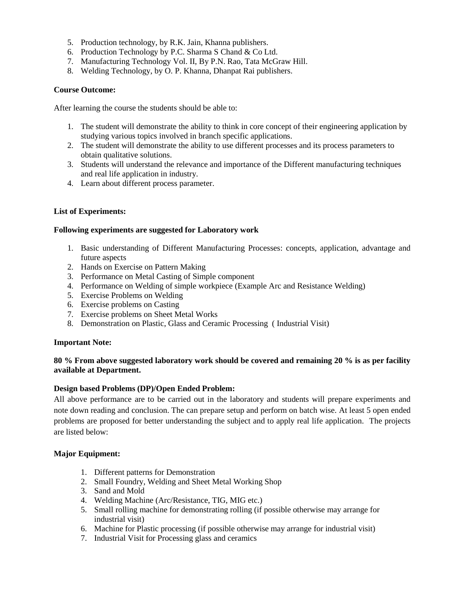- 5. Production technology, by R.K. Jain, Khanna publishers.
- 6. Production Technology by P.C. Sharma S Chand & Co Ltd.
- 7. Manufacturing Technology Vol. II, By P.N. Rao, Tata McGraw Hill.
- 8. Welding Technology, by O. P. Khanna, Dhanpat Rai publishers.

#### **Course Outcome:**

After learning the course the students should be able to:

- 1. The student will demonstrate the ability to think in core concept of their engineering application by studying various topics involved in branch specific applications.
- 2. The student will demonstrate the ability to use different processes and its process parameters to obtain qualitative solutions.
- 3. Students will understand the relevance and importance of the Different manufacturing techniques and real life application in industry.
- 4. Learn about different process parameter.

## **List of Experiments:**

#### **Following experiments are suggested for Laboratory work**

- 1. Basic understanding of Different Manufacturing Processes: concepts, application, advantage and future aspects
- 2. Hands on Exercise on Pattern Making
- 3. Performance on Metal Casting of Simple component
- 4. Performance on Welding of simple workpiece (Example Arc and Resistance Welding)
- 5. Exercise Problems on Welding
- 6. Exercise problems on Casting
- 7. Exercise problems on Sheet Metal Works
- 8. Demonstration on Plastic, Glass and Ceramic Processing ( Industrial Visit)

#### **Important Note:**

## **80 % From above suggested laboratory work should be covered and remaining 20 % is as per facility available at Department.**

#### **Design based Problems (DP)/Open Ended Problem:**

All above performance are to be carried out in the laboratory and students will prepare experiments and note down reading and conclusion. The can prepare setup and perform on batch wise. At least 5 open ended problems are proposed for better understanding the subject and to apply real life application. The projects are listed below:

#### **Major Equipment:**

- 1. Different patterns for Demonstration
- 2. Small Foundry, Welding and Sheet Metal Working Shop
- 3. Sand and Mold
- 4. Welding Machine (Arc/Resistance, TIG, MIG etc.)
- 5. Small rolling machine for demonstrating rolling (if possible otherwise may arrange for industrial visit)
- 6. Machine for Plastic processing (if possible otherwise may arrange for industrial visit)
- 7. Industrial Visit for Processing glass and ceramics